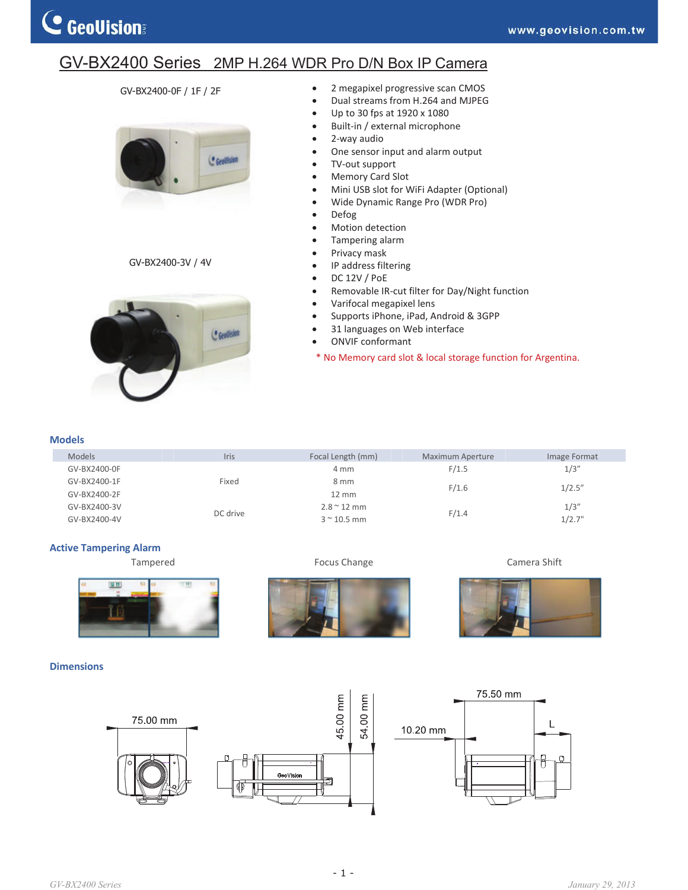## GV-BX2400 Series 2MP H.264 WDR Pro D/N Box IP Camera

### GV-BX2400-0F / 1F / 2F



#### GV-BX2400-3V / 4V



- 2 megapixel progressive scan CMOS
- Dual streams from H.264 and MJPEG
- Up to 30 fps at 1920 x 1080
- Built-in / external microphone
- 2-way audio
- One sensor input and alarm output
- TV-out support
- Memory Card Slot
- Mini USB slot for WiFi Adapter (Optional)
- Wide Dynamic Range Pro (WDR Pro)
- Defog
- Motion detection
- Tampering alarm
- Privacy mask
- IP address filtering
- $\bullet$  DC 12V / PoE
- Removable IR-cut filter for Day/Night function
- Varifocal megapixel lens
- Supports iPhone, iPad, Android & 3GPP
- 31 languages on Web interface
- ONVIF conformant
- \* No Memory card slot & local storage function for Argentina.

#### **Models**

| <b>Models</b> | Iris     | Focal Length (mm)  | <b>Maximum Aperture</b> | Image Format |
|---------------|----------|--------------------|-------------------------|--------------|
| GV-BX2400-0F  |          | 4 mm               | F/1.5                   | 1/3''        |
| GV-BX2400-1F  | Fixed    | 8 mm               | F/1.6                   | 1/2.5''      |
| GV-BX2400-2F  |          | $12 \, \text{mm}$  |                         |              |
| GV-BX2400-3V  | DC drive | $2.8 \times 12$ mm |                         | 1/3''        |
| GV-BX2400-4V  |          | $3 < 10.5$ mm      | F/1.4                   | 1/2.7"       |

#### **Active Tampering Alarm**

Tampered **Focus Change Focus Change Camera Shift** 



#### **Dimensions**



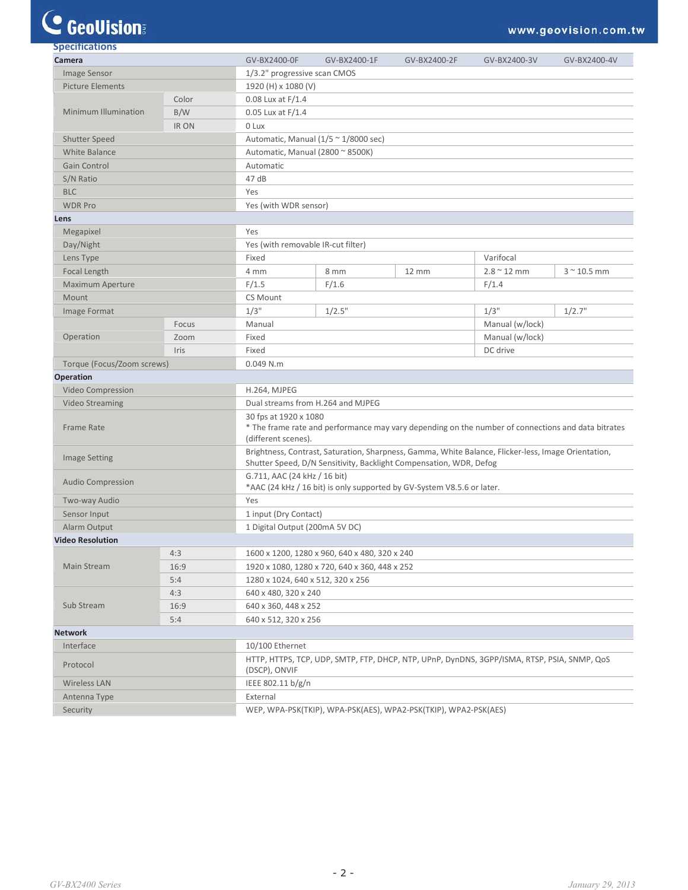# **C** GeoVision

| <b>Specifications</b>      |       |                                               |                                                                                                                             |                   |                    |                  |  |  |
|----------------------------|-------|-----------------------------------------------|-----------------------------------------------------------------------------------------------------------------------------|-------------------|--------------------|------------------|--|--|
| Camera                     |       | GV-BX2400-0F                                  | GV-BX2400-1F                                                                                                                | GV-BX2400-2F      | GV-BX2400-3V       | GV-BX2400-4V     |  |  |
| Image Sensor               |       | 1/3.2" progressive scan CMOS                  |                                                                                                                             |                   |                    |                  |  |  |
| <b>Picture Elements</b>    |       | 1920 (H) x 1080 (V)                           |                                                                                                                             |                   |                    |                  |  |  |
|                            | Color | $0.08$ Lux at $F/1.4$                         |                                                                                                                             |                   |                    |                  |  |  |
| Minimum Illumination       | B/W   | 0.05 Lux at F/1.4                             |                                                                                                                             |                   |                    |                  |  |  |
|                            | IR ON | 0 Lux                                         |                                                                                                                             |                   |                    |                  |  |  |
| Shutter Speed              |       |                                               | Automatic, Manual ( $1/5 \approx 1/8000$ sec)                                                                               |                   |                    |                  |  |  |
| White Balance              |       | Automatic, Manual (2800 ~ 8500K)              |                                                                                                                             |                   |                    |                  |  |  |
| Gain Control               |       | Automatic                                     |                                                                                                                             |                   |                    |                  |  |  |
| S/N Ratio                  |       | 47 dB                                         |                                                                                                                             |                   |                    |                  |  |  |
| <b>BLC</b>                 |       | Yes                                           |                                                                                                                             |                   |                    |                  |  |  |
| <b>WDR Pro</b>             |       | Yes (with WDR sensor)                         |                                                                                                                             |                   |                    |                  |  |  |
| Lens                       |       |                                               |                                                                                                                             |                   |                    |                  |  |  |
| Megapixel                  |       | Yes                                           |                                                                                                                             |                   |                    |                  |  |  |
| Day/Night                  |       |                                               |                                                                                                                             |                   |                    |                  |  |  |
| Lens Type                  |       | Fixed                                         | Yes (with removable IR-cut filter)<br>Varifocal                                                                             |                   |                    |                  |  |  |
| Focal Length               |       | 4 mm                                          | 8 mm                                                                                                                        | $12 \, \text{mm}$ | $2.8 \times 12$ mm | $3 \sim 10.5$ mm |  |  |
| <b>Maximum Aperture</b>    |       | F/1.5                                         | F/1.6                                                                                                                       |                   | F/1.4              |                  |  |  |
|                            |       |                                               |                                                                                                                             |                   |                    |                  |  |  |
| Mount                      |       | CS Mount<br>$1/3$ "                           |                                                                                                                             |                   |                    |                  |  |  |
| Image Format               |       |                                               | 1/2.5"                                                                                                                      |                   | $1/3$ "            | 1/2.7"           |  |  |
|                            | Focus |                                               | Manual                                                                                                                      |                   |                    | Manual (w/lock)  |  |  |
| Operation                  | Zoom  | Fixed                                         |                                                                                                                             |                   | Manual (w/lock)    |                  |  |  |
|                            | Iris  |                                               | Fixed<br>DC drive                                                                                                           |                   |                    |                  |  |  |
| Torque (Focus/Zoom screws) |       | $0.049$ N.m                                   |                                                                                                                             |                   |                    |                  |  |  |
| Operation                  |       |                                               |                                                                                                                             |                   |                    |                  |  |  |
| Video Compression          |       | H.264, MJPEG                                  |                                                                                                                             |                   |                    |                  |  |  |
| <b>Video Streaming</b>     |       |                                               | Dual streams from H.264 and MJPEG                                                                                           |                   |                    |                  |  |  |
| <b>Frame Rate</b>          |       |                                               | 30 fps at 1920 x 1080<br>* The frame rate and performance may vary depending on the number of connections and data bitrates |                   |                    |                  |  |  |
|                            |       |                                               | (different scenes).<br>Brightness, Contrast, Saturation, Sharpness, Gamma, White Balance, Flicker-less, Image Orientation,  |                   |                    |                  |  |  |
| <b>Image Setting</b>       |       |                                               | Shutter Speed, D/N Sensitivity, Backlight Compensation, WDR, Defog<br>G.711, AAC (24 kHz / 16 bit)                          |                   |                    |                  |  |  |
| <b>Audio Compression</b>   |       |                                               | *AAC (24 kHz / 16 bit) is only supported by GV-System V8.5.6 or later.                                                      |                   |                    |                  |  |  |
| Two-way Audio              |       | Yes                                           |                                                                                                                             |                   |                    |                  |  |  |
| Sensor Input               |       |                                               | 1 input (Dry Contact)                                                                                                       |                   |                    |                  |  |  |
| Alarm Output               |       |                                               | 1 Digital Output (200mA 5V DC)                                                                                              |                   |                    |                  |  |  |
| <b>Video Resolution</b>    |       |                                               |                                                                                                                             |                   |                    |                  |  |  |
| 4:3                        |       | 1600 x 1200, 1280 x 960, 640 x 480, 320 x 240 |                                                                                                                             |                   |                    |                  |  |  |
| Main Stream                | 16:9  |                                               | 1920 x 1080, 1280 x 720, 640 x 360, 448 x 252                                                                               |                   |                    |                  |  |  |
|                            | 5:4   |                                               | 1280 x 1024, 640 x 512, 320 x 256                                                                                           |                   |                    |                  |  |  |
|                            | 4:3   | 640 x 480, 320 x 240                          |                                                                                                                             |                   |                    |                  |  |  |
| Sub Stream                 | 16:9  |                                               | 640 x 360, 448 x 252                                                                                                        |                   |                    |                  |  |  |
|                            | 5:4   |                                               | 640 x 512, 320 x 256                                                                                                        |                   |                    |                  |  |  |
| <b>Network</b>             |       |                                               |                                                                                                                             |                   |                    |                  |  |  |
| Interface                  |       | 10/100 Ethernet                               |                                                                                                                             |                   |                    |                  |  |  |
| Protocol                   |       | (DSCP), ONVIF                                 | HTTP, HTTPS, TCP, UDP, SMTP, FTP, DHCP, NTP, UPnP, DynDNS, 3GPP/ISMA, RTSP, PSIA, SNMP, QoS                                 |                   |                    |                  |  |  |
| <b>Wireless LAN</b>        |       | IEEE 802.11 b/g/n                             |                                                                                                                             |                   |                    |                  |  |  |
| Antenna Type               |       | External                                      |                                                                                                                             |                   |                    |                  |  |  |
| Security                   |       |                                               | WEP, WPA-PSK(TKIP), WPA-PSK(AES), WPA2-PSK(TKIP), WPA2-PSK(AES)                                                             |                   |                    |                  |  |  |
|                            |       |                                               |                                                                                                                             |                   |                    |                  |  |  |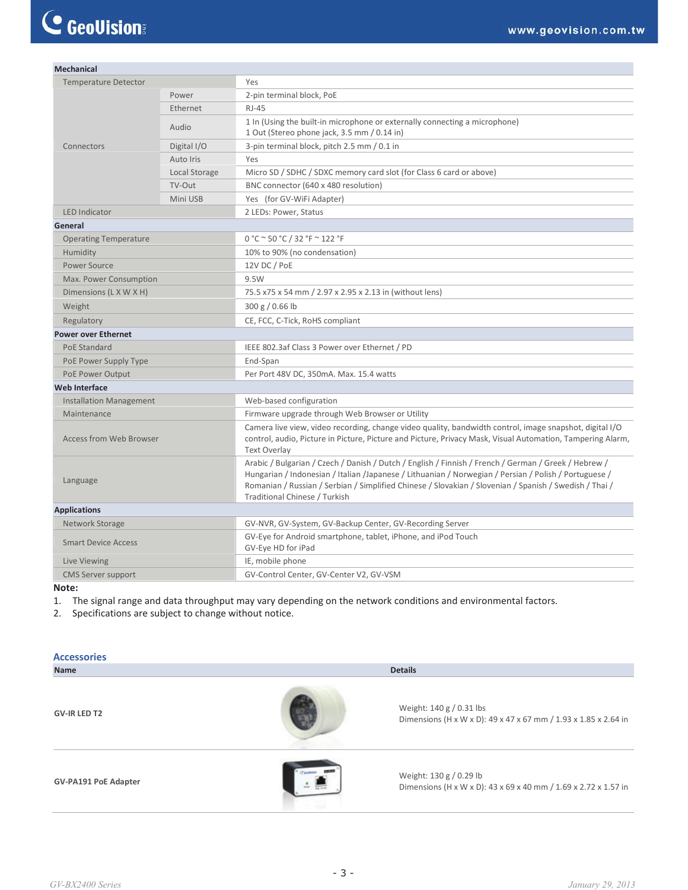| <b>Mechanical</b>              |               |                                                                                                                                                                                                                                                                                                                                                           |
|--------------------------------|---------------|-----------------------------------------------------------------------------------------------------------------------------------------------------------------------------------------------------------------------------------------------------------------------------------------------------------------------------------------------------------|
| <b>Temperature Detector</b>    |               | Yes                                                                                                                                                                                                                                                                                                                                                       |
|                                | Power         | 2-pin terminal block, PoE                                                                                                                                                                                                                                                                                                                                 |
| Ethernet                       |               | <b>RJ-45</b>                                                                                                                                                                                                                                                                                                                                              |
|                                | Audio         | 1 In (Using the built-in microphone or externally connecting a microphone)<br>1 Out (Stereo phone jack, 3.5 mm / 0.14 in)                                                                                                                                                                                                                                 |
| Connectors                     | Digital I/O   | 3-pin terminal block, pitch 2.5 mm / 0.1 in                                                                                                                                                                                                                                                                                                               |
|                                | Auto Iris     | Yes                                                                                                                                                                                                                                                                                                                                                       |
|                                | Local Storage | Micro SD / SDHC / SDXC memory card slot (for Class 6 card or above)                                                                                                                                                                                                                                                                                       |
|                                | TV-Out        | BNC connector (640 x 480 resolution)                                                                                                                                                                                                                                                                                                                      |
|                                | Mini USB      | Yes (for GV-WiFi Adapter)                                                                                                                                                                                                                                                                                                                                 |
| <b>LED Indicator</b>           |               | 2 LEDs: Power, Status                                                                                                                                                                                                                                                                                                                                     |
| General                        |               |                                                                                                                                                                                                                                                                                                                                                           |
| <b>Operating Temperature</b>   |               | 0 °C ~ 50 °C / 32 °F ~ 122 °F                                                                                                                                                                                                                                                                                                                             |
| Humidity                       |               | 10% to 90% (no condensation)                                                                                                                                                                                                                                                                                                                              |
| Power Source                   |               | 12V DC / PoE                                                                                                                                                                                                                                                                                                                                              |
| Max. Power Consumption         |               | 9.5W                                                                                                                                                                                                                                                                                                                                                      |
| Dimensions (L X W X H)         |               | 75.5 x75 x 54 mm / 2.97 x 2.95 x 2.13 in (without lens)                                                                                                                                                                                                                                                                                                   |
| Weight                         |               | 300 g / 0.66 lb                                                                                                                                                                                                                                                                                                                                           |
| Regulatory                     |               | CE, FCC, C-Tick, RoHS compliant                                                                                                                                                                                                                                                                                                                           |
| <b>Power over Ethernet</b>     |               |                                                                                                                                                                                                                                                                                                                                                           |
| PoE Standard                   |               | IEEE 802.3af Class 3 Power over Ethernet / PD                                                                                                                                                                                                                                                                                                             |
| PoE Power Supply Type          |               | End-Span                                                                                                                                                                                                                                                                                                                                                  |
| PoE Power Output               |               | Per Port 48V DC, 350mA. Max. 15.4 watts                                                                                                                                                                                                                                                                                                                   |
| <b>Web Interface</b>           |               |                                                                                                                                                                                                                                                                                                                                                           |
| <b>Installation Management</b> |               | Web-based configuration                                                                                                                                                                                                                                                                                                                                   |
| Maintenance                    |               | Firmware upgrade through Web Browser or Utility                                                                                                                                                                                                                                                                                                           |
| <b>Access from Web Browser</b> |               | Camera live view, video recording, change video quality, bandwidth control, image snapshot, digital I/O<br>control, audio, Picture in Picture, Picture and Picture, Privacy Mask, Visual Automation, Tampering Alarm,<br><b>Text Overlay</b>                                                                                                              |
| Language                       |               | Arabic / Bulgarian / Czech / Danish / Dutch / English / Finnish / French / German / Greek / Hebrew /<br>Hungarian / Indonesian / Italian / Japanese / Lithuanian / Norwegian / Persian / Polish / Portuguese /<br>Romanian / Russian / Serbian / Simplified Chinese / Slovakian / Slovenian / Spanish / Swedish / Thai /<br>Traditional Chinese / Turkish |
| <b>Applications</b>            |               |                                                                                                                                                                                                                                                                                                                                                           |
| Network Storage                |               | GV-NVR, GV-System, GV-Backup Center, GV-Recording Server                                                                                                                                                                                                                                                                                                  |
| <b>Smart Device Access</b>     |               | GV-Eye for Android smartphone, tablet, iPhone, and iPod Touch<br>GV-Eye HD for iPad                                                                                                                                                                                                                                                                       |
| Live Viewing                   |               | IE, mobile phone                                                                                                                                                                                                                                                                                                                                          |
| <b>CMS Server support</b>      |               | GV-Control Center, GV-Center V2, GV-VSM                                                                                                                                                                                                                                                                                                                   |

#### **Note:**

1. The signal range and data throughput may vary depending on the network conditions and environmental factors.

2. Specifications are subject to change without notice.

| <b>Accessories</b>          |                |                                                                                             |  |
|-----------------------------|----------------|---------------------------------------------------------------------------------------------|--|
| Name                        | <b>Details</b> |                                                                                             |  |
| <b>GV-IR LED T2</b>         |                | Weight: 140 g / 0.31 lbs<br>Dimensions (H x W x D): 49 x 47 x 67 mm / 1.93 x 1.85 x 2.64 in |  |
| <b>GV-PA191 PoE Adapter</b> |                | Weight: 130 g / 0.29 lb<br>Dimensions (H x W x D): 43 x 69 x 40 mm / 1.69 x 2.72 x 1.57 in  |  |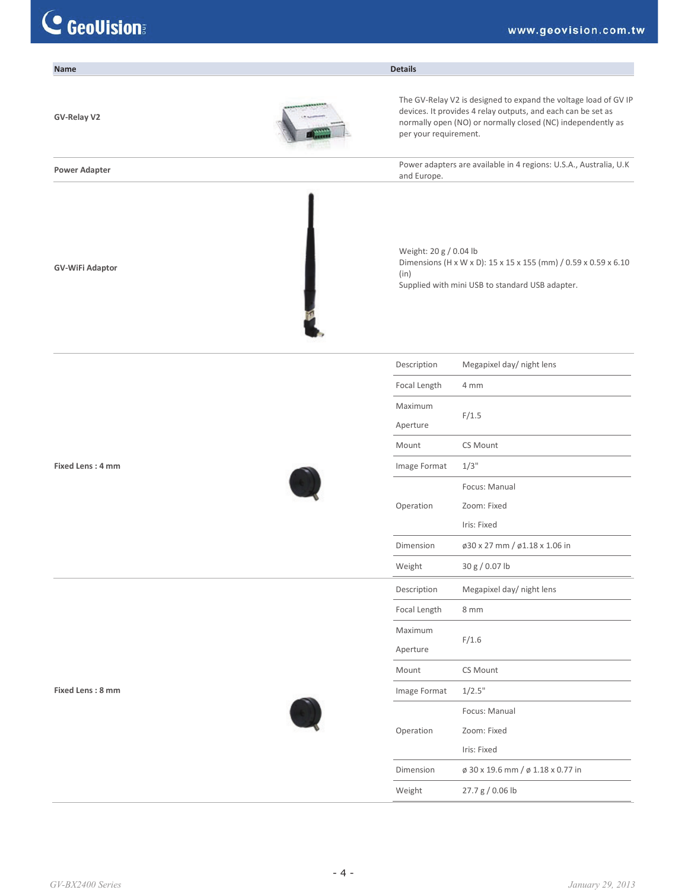| <b>Name</b>            | <b>Details</b>                 |                                                                                                                                                                                                |
|------------------------|--------------------------------|------------------------------------------------------------------------------------------------------------------------------------------------------------------------------------------------|
| GV-Relay V2            | per your requirement.          | The GV-Relay V2 is designed to expand the voltage load of GV IP<br>devices. It provides 4 relay outputs, and each can be set as<br>normally open (NO) or normally closed (NC) independently as |
| <b>Power Adapter</b>   | and Europe.                    | Power adapters are available in 4 regions: U.S.A., Australia, U.K                                                                                                                              |
| <b>GV-WiFi Adaptor</b> | Weight: 20 g / 0.04 lb<br>(in) | Dimensions (H x W x D): 15 x 15 x 155 (mm) / 0.59 x 0.59 x 6.10<br>Supplied with mini USB to standard USB adapter.                                                                             |
|                        | Description                    | Megapixel day/ night lens                                                                                                                                                                      |
|                        | Focal Length                   | 4 mm                                                                                                                                                                                           |
|                        | Maximum<br>Aperture            | F/1.5                                                                                                                                                                                          |
|                        | Mount                          | CS Mount                                                                                                                                                                                       |
| Fixed Lens: 4 mm       | Image Format                   | $1/3$ "                                                                                                                                                                                        |
|                        |                                | Focus: Manual                                                                                                                                                                                  |
|                        | Operation                      | Zoom: Fixed                                                                                                                                                                                    |
|                        |                                | Iris: Fixed                                                                                                                                                                                    |
|                        | Dimension                      | ø30 x 27 mm / ø1.18 x 1.06 in                                                                                                                                                                  |
|                        | Weight                         | 30 g / 0.07 lb                                                                                                                                                                                 |
|                        | Description                    | Megapixel day/ night lens                                                                                                                                                                      |
|                        | Focal Length                   | 8 mm                                                                                                                                                                                           |
|                        | Maximum<br>Aperture            | F/1.6                                                                                                                                                                                          |
|                        | Mount                          | CS Mount                                                                                                                                                                                       |
| Fixed Lens: 8 mm       | Image Format                   | 1/2.5"                                                                                                                                                                                         |
|                        |                                | Focus: Manual                                                                                                                                                                                  |
|                        | Operation                      | Zoom: Fixed                                                                                                                                                                                    |
|                        |                                | Iris: Fixed                                                                                                                                                                                    |
|                        | Dimension                      | ø 30 x 19.6 mm / ø 1.18 x 0.77 in                                                                                                                                                              |
|                        | Weight                         | 27.7 g / 0.06 lb                                                                                                                                                                               |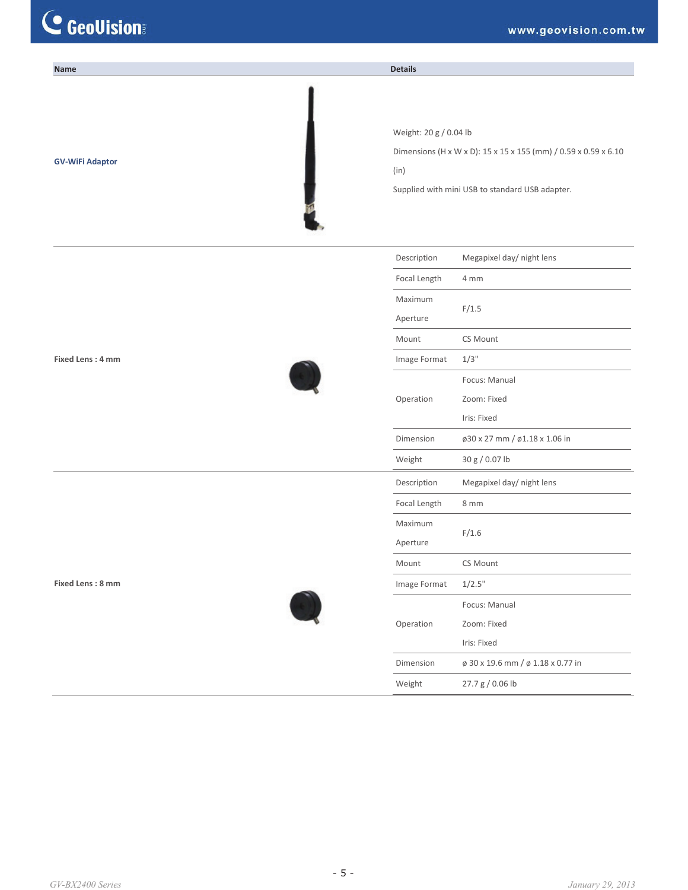| Name                   | <b>Details</b>                 |                                                                                                                    |
|------------------------|--------------------------------|--------------------------------------------------------------------------------------------------------------------|
| <b>GV-WiFi Adaptor</b> | Weight: 20 g / 0.04 lb<br>(in) | Dimensions (H x W x D): 15 x 15 x 155 (mm) / 0.59 x 0.59 x 6.10<br>Supplied with mini USB to standard USB adapter. |
|                        | Description                    | Megapixel day/ night lens                                                                                          |
|                        | Focal Length                   | 4 mm                                                                                                               |
|                        | Maximum                        |                                                                                                                    |
|                        | Aperture                       | F/1.5                                                                                                              |
|                        | Mount                          | CS Mount                                                                                                           |
| Fixed Lens: 4 mm       | Image Format                   | 1/3"                                                                                                               |
|                        |                                | Focus: Manual                                                                                                      |
|                        | Operation                      | Zoom: Fixed                                                                                                        |
|                        |                                | Iris: Fixed                                                                                                        |
|                        | Dimension                      | ø30 x 27 mm / ø1.18 x 1.06 in                                                                                      |
|                        | Weight                         | 30 g / 0.07 lb                                                                                                     |
|                        | Description                    | Megapixel day/ night lens                                                                                          |
|                        | Focal Length                   | 8 mm                                                                                                               |
|                        | Maximum                        |                                                                                                                    |
|                        | Aperture                       | F/1.6                                                                                                              |
|                        | Mount                          | CS Mount                                                                                                           |
| Fixed Lens: 8 mm       | Image Format                   | 1/2.5"                                                                                                             |
|                        |                                | Focus: Manual                                                                                                      |
|                        | Operation                      | Zoom: Fixed                                                                                                        |
|                        |                                | Iris: Fixed                                                                                                        |
|                        | Dimension                      | ø 30 x 19.6 mm / ø 1.18 x 0.77 in                                                                                  |
|                        | Weight                         | 27.7 g / 0.06 lb                                                                                                   |